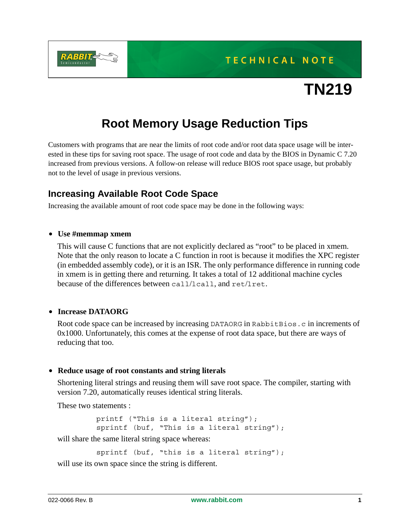TECHNICAL NOTE

# **TN219**

# **Root Memory Usage Reduction Tips**

Customers with programs that are near the limits of root code and/or root data space usage will be interested in these tips for saving root space. The usage of root code and data by the BIOS in Dynamic C 7.20 increased from previous versions. A follow-on release will reduce BIOS root space usage, but probably not to the level of usage in previous versions.

### **Increasing Available Root Code Space**

Increasing the available amount of root code space may be done in the following ways:

#### **• Use #memmap xmem**

This will cause C functions that are not explicitly declared as "root" to be placed in xmem. Note that the only reason to locate a C function in root is because it modifies the XPC register (in embedded assembly code), or it is an ISR. The only performance difference in running code in xmem is in getting there and returning. It takes a total of 12 additional machine cycles because of the differences between call/lcall, and ret/lret.

#### **• Increase DATAORG**

Root code space can be increased by increasing DATAORG in RabbitBios.c in increments of 0x1000. Unfortunately, this comes at the expense of root data space, but there are ways of reducing that too.

#### **• Reduce usage of root constants and string literals**

Shortening literal strings and reusing them will save root space. The compiler, starting with version 7.20, automatically reuses identical string literals.

These two statements :

```
printf ("This is a literal string");
sprintf (buf, "This is a literal string");
```
will share the same literal string space whereas:

sprintf (buf, "this is a literal string");

will use its own space since the string is different.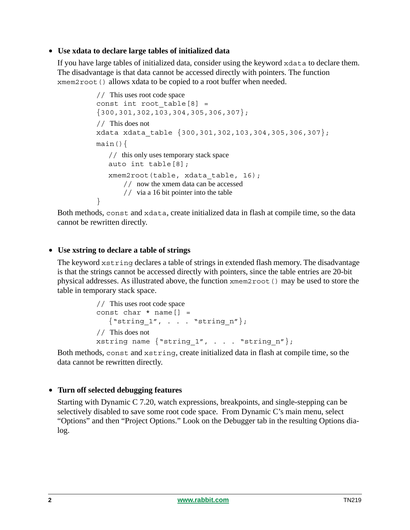#### **• Use xdata to declare large tables of initialized data**

If you have large tables of initialized data, consider using the keyword xdata to declare them. The disadvantage is that data cannot be accessed directly with pointers. The function xmem2root() allows xdata to be copied to a root buffer when needed.

```
// This uses root code space 
const int root table [8] ={300,301,302,103,304,305,306,307};
// This does not
xdata xdata_table {300,301,302,103,304,305,306,307};
main(){
   // this only uses temporary stack space
   auto int table[8]; 
   xmem2root(table, xdata table, 16);
        // now the xmem data can be accessed 
        // via a 16 bit pointer into the table
}
```
Both methods, const and xdata, create initialized data in flash at compile time, so the data cannot be rewritten directly.

#### **• Use xstring to declare a table of strings**

The keyword xstring declares a table of strings in extended flash memory. The disadvantage is that the strings cannot be accessed directly with pointers, since the table entries are 20-bit physical addresses. As illustrated above, the function xmem2root() may be used to store the table in temporary stack space.

```
// This uses root code space
const char * name [] ={\text{``string 1''}, \ldots \text{``string n''}};// This does not
xstring name \{ "string 1", . . . "string n''\};
```
Both methods, const and xstring, create initialized data in flash at compile time, so the data cannot be rewritten directly.

#### **• Turn off selected debugging features**

Starting with Dynamic C 7.20, watch expressions, breakpoints, and single-stepping can be selectively disabled to save some root code space. From Dynamic C's main menu, select "Options" and then "Project Options." Look on the Debugger tab in the resulting Options dialog.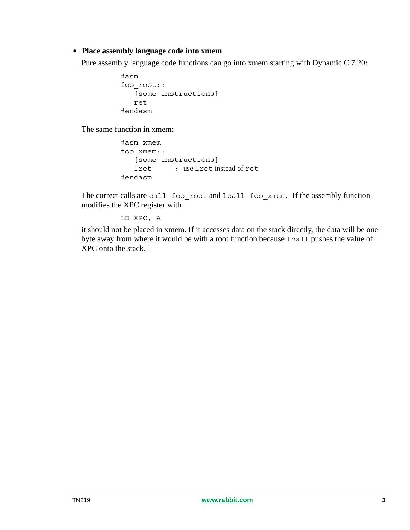#### **• Place assembly language code into xmem**

Pure assembly language code functions can go into xmem starting with Dynamic C 7.20:

```
#asm 
foo_root::
    [some instructions]
    ret
#endasm
```
The same function in xmem:

```
#asm xmem
foo_xmem::
    [some instructions]
    lret ; use lret instead of ret
#endasm
```
The correct calls are call foo\_root and lcall foo\_xmem. If the assembly function modifies the XPC register with

LD XPC, A

it should not be placed in xmem. If it accesses data on the stack directly, the data will be one byte away from where it would be with a root function because lcall pushes the value of XPC onto the stack.